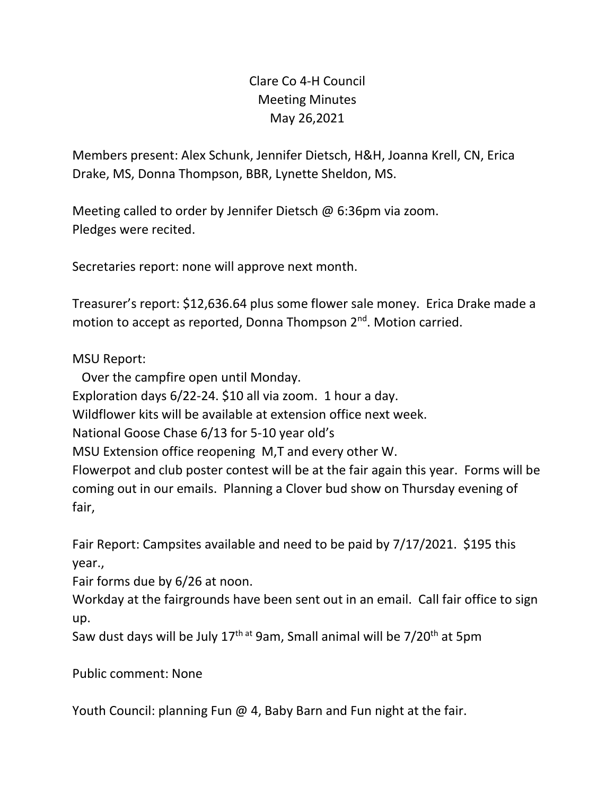## Clare Co 4-H Council Meeting Minutes May 26,2021

Members present: Alex Schunk, Jennifer Dietsch, H&H, Joanna Krell, CN, Erica Drake, MS, Donna Thompson, BBR, Lynette Sheldon, MS.

Meeting called to order by Jennifer Dietsch @ 6:36pm via zoom. Pledges were recited.

Secretaries report: none will approve next month.

Treasurer's report: \$12,636.64 plus some flower sale money. Erica Drake made a motion to accept as reported, Donna Thompson 2<sup>nd</sup>. Motion carried.

## MSU Report:

 Over the campfire open until Monday. Exploration days 6/22-24. \$10 all via zoom. 1 hour a day. Wildflower kits will be available at extension office next week. National Goose Chase 6/13 for 5-10 year old's MSU Extension office reopening M,T and every other W. Flowerpot and club poster contest will be at the fair again this year. Forms will be coming out in our emails. Planning a Clover bud show on Thursday evening of fair,

Fair Report: Campsites available and need to be paid by 7/17/2021. \$195 this year.,

Fair forms due by 6/26 at noon.

Workday at the fairgrounds have been sent out in an email. Call fair office to sign up.

Saw dust days will be July 17<sup>th at</sup> 9am, Small animal will be 7/20<sup>th</sup> at 5pm

Public comment: None

Youth Council: planning Fun @ 4, Baby Barn and Fun night at the fair.